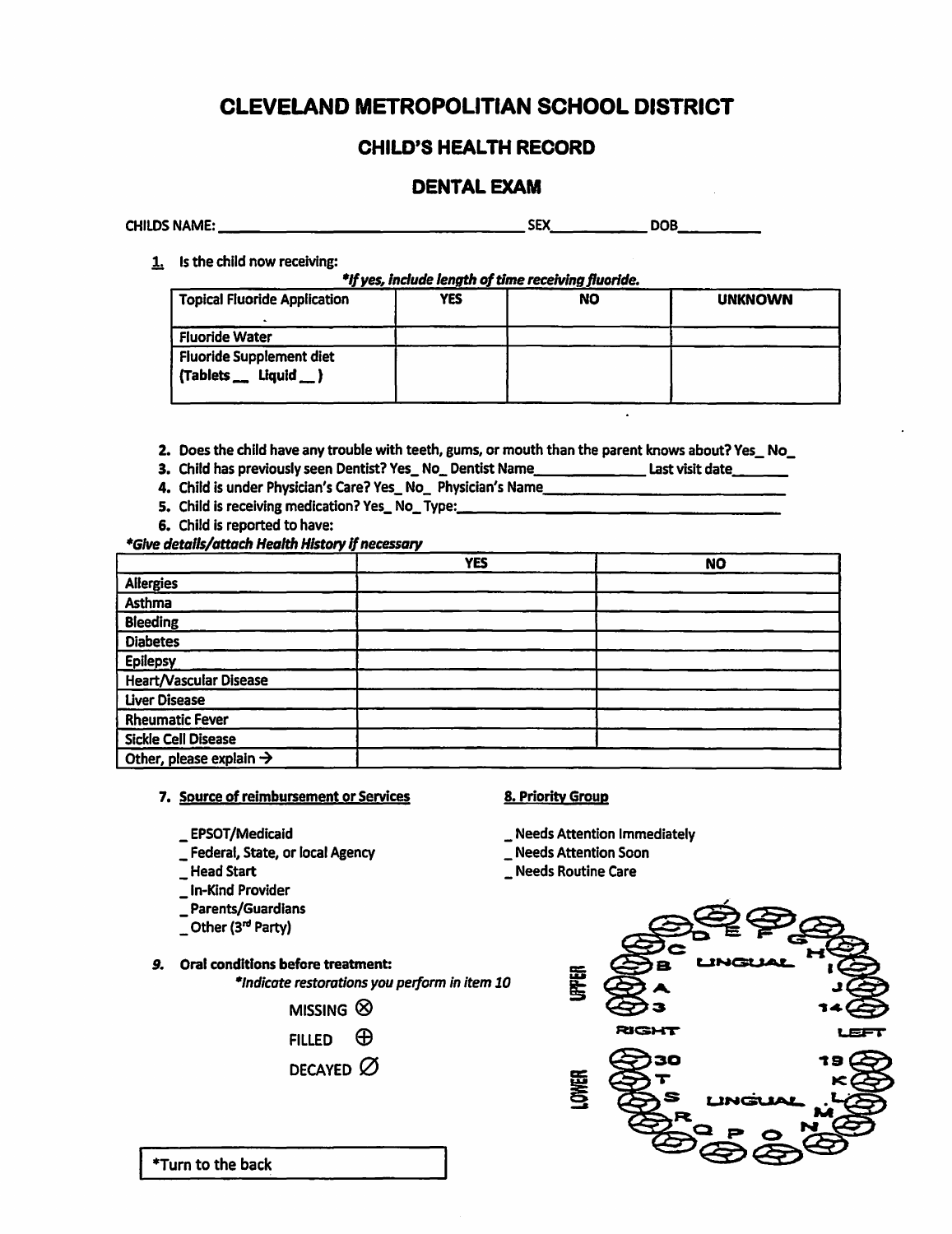# CLEVELAND METROPOLITIAN SCHOOL DISTRICT

# CHILD'S HEALTH RECORD

# DENTAL EXAM

| <b>CHILDS NAME:</b> | эE | -- |
|---------------------|----|----|
|                     |    |    |

1. Is the child now receiving:

*\*Ifyes,lndude length of time receiving fluoride.* 

| <b>Topical Fluoride Application</b>                                 | YES | NO | <b>UNKNOWN</b> |
|---------------------------------------------------------------------|-----|----|----------------|
| <b>Fluoride Water</b>                                               |     |    |                |
| <b>Fluoride Supplement diet</b><br>${Tablets_\_~}$ Liquid $_{\_}$ ) |     |    |                |

- 2. Does the child have any trouble with teeth, gums, or mouth than the parent knows about? Yes\_ No\_
- 3. Child has previously seen Dentist? Yes\_No\_Dentist Name\_\_\_\_\_\_\_\_\_\_\_\_\_\_\_Last visit date\_\_\_\_\_\_\_
- 4. Child is under Physician's Care? Yes\_ No\_ Physician's Name\_\_\_\_\_\_\_\_\_
- 5. Child is receiving medication? Yes\_No\_Type:\_\_\_\_\_\_\_
- 6. Child is reported to have:

*\*Give details/attach Health History* If*necessary* 

|                                     | <b>YES</b> | <b>NO</b> |
|-------------------------------------|------------|-----------|
| <b>Allergies</b>                    |            |           |
| Asthma                              |            |           |
| <b>Bleeding</b>                     |            |           |
| <b>Diabetes</b>                     |            |           |
| Epilepsy                            |            |           |
| <b>Heart/Vascular Disease</b>       |            |           |
| <b>Liver Disease</b>                |            |           |
| <b>Rheumatic Fever</b>              |            |           |
| Sickle Cell Disease                 |            |           |
| Other, please explain $\rightarrow$ |            |           |

## **7. Source of reimbursement or Services 8. Priority Group**

- 
- \_ Federal, State, or local Agency \_ Needs Attention Soon
- 
- \_ In-Kind Provider
- \_ Parents/Guardians
- $\sqrt{ }$  Other (3<sup>rd</sup> Party)

# *9.* **Oral conditions before treatment:**

*\*Indicate restorations you perform in item 10* 



- FILLED  $\oplus$
- DECAYED  $\varnothing$

\_ **EPSOT/Medicaid** \_ Needs Attention Immediately

- 
- \_ Needs Routine Care



\*Turn to the back